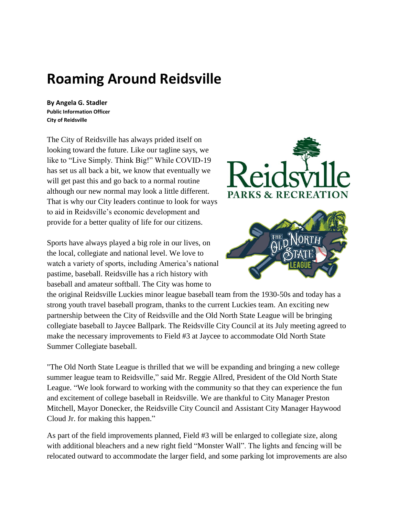## **Roaming Around Reidsville**

**By Angela G. Stadler Public Information Officer City of Reidsville**

The City of Reidsville has always prided itself on looking toward the future. Like our tagline says, we like to "Live Simply. Think Big!" While COVID-19 has set us all back a bit, we know that eventually we will get past this and go back to a normal routine although our new normal may look a little different. That is why our City leaders continue to look for ways to aid in Reidsville's economic development and provide for a better quality of life for our citizens.

Sports have always played a big role in our lives, on the local, collegiate and national level. We love to watch a variety of sports, including America's national pastime, baseball. Reidsville has a rich history with baseball and amateur softball. The City was home to



the original Reidsville Luckies minor league baseball team from the 1930-50s and today has a strong youth travel baseball program, thanks to the current Luckies team. An exciting new partnership between the City of Reidsville and the Old North State League will be bringing collegiate baseball to Jaycee Ballpark. The Reidsville City Council at its July meeting agreed to make the necessary improvements to Field #3 at Jaycee to accommodate Old North State Summer Collegiate baseball.

"The Old North State League is thrilled that we will be expanding and bringing a new college summer league team to Reidsville," said Mr. Reggie Allred, President of the Old North State League. "We look forward to working with the community so that they can experience the fun and excitement of college baseball in Reidsville. We are thankful to City Manager Preston Mitchell, Mayor Donecker, the Reidsville City Council and Assistant City Manager Haywood Cloud Jr. for making this happen."

As part of the field improvements planned, Field #3 will be enlarged to collegiate size, along with additional bleachers and a new right field "Monster Wall". The lights and fencing will be relocated outward to accommodate the larger field, and some parking lot improvements are also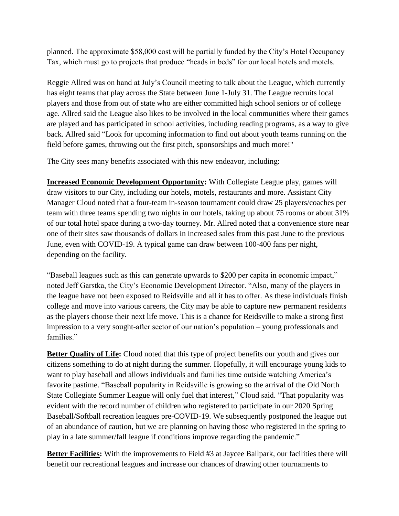planned. The approximate \$58,000 cost will be partially funded by the City's Hotel Occupancy Tax, which must go to projects that produce "heads in beds" for our local hotels and motels.

Reggie Allred was on hand at July's Council meeting to talk about the League, which currently has eight teams that play across the State between June 1-July 31. The League recruits local players and those from out of state who are either committed high school seniors or of college age. Allred said the League also likes to be involved in the local communities where their games are played and has participated in school activities, including reading programs, as a way to give back. Allred said "Look for upcoming information to find out about youth teams running on the field before games, throwing out the first pitch, sponsorships and much more!"

The City sees many benefits associated with this new endeavor, including:

**Increased Economic Development Opportunity:** With Collegiate League play, games will draw visitors to our City, including our hotels, motels, restaurants and more. Assistant City Manager Cloud noted that a four-team in-season tournament could draw 25 players/coaches per team with three teams spending two nights in our hotels, taking up about 75 rooms or about 31% of our total hotel space during a two-day tourney. Mr. Allred noted that a convenience store near one of their sites saw thousands of dollars in increased sales from this past June to the previous June, even with COVID-19. A typical game can draw between 100-400 fans per night, depending on the facility.

"Baseball leagues such as this can generate upwards to \$200 per capita in economic impact," noted Jeff Garstka, the City's Economic Development Director. "Also, many of the players in the league have not been exposed to Reidsville and all it has to offer. As these individuals finish college and move into various careers, the City may be able to capture new permanent residents as the players choose their next life move. This is a chance for Reidsville to make a strong first impression to a very sought-after sector of our nation's population – young professionals and families."

**Better Quality of Life:** Cloud noted that this type of project benefits our youth and gives our citizens something to do at night during the summer. Hopefully, it will encourage young kids to want to play baseball and allows individuals and families time outside watching America's favorite pastime. "Baseball popularity in Reidsville is growing so the arrival of the Old North State Collegiate Summer League will only fuel that interest," Cloud said. "That popularity was evident with the record number of children who registered to participate in our 2020 Spring Baseball/Softball recreation leagues pre-COVID-19. We subsequently postponed the league out of an abundance of caution, but we are planning on having those who registered in the spring to play in a late summer/fall league if conditions improve regarding the pandemic."

**Better Facilities:** With the improvements to Field #3 at Jaycee Ballpark, our facilities there will benefit our recreational leagues and increase our chances of drawing other tournaments to